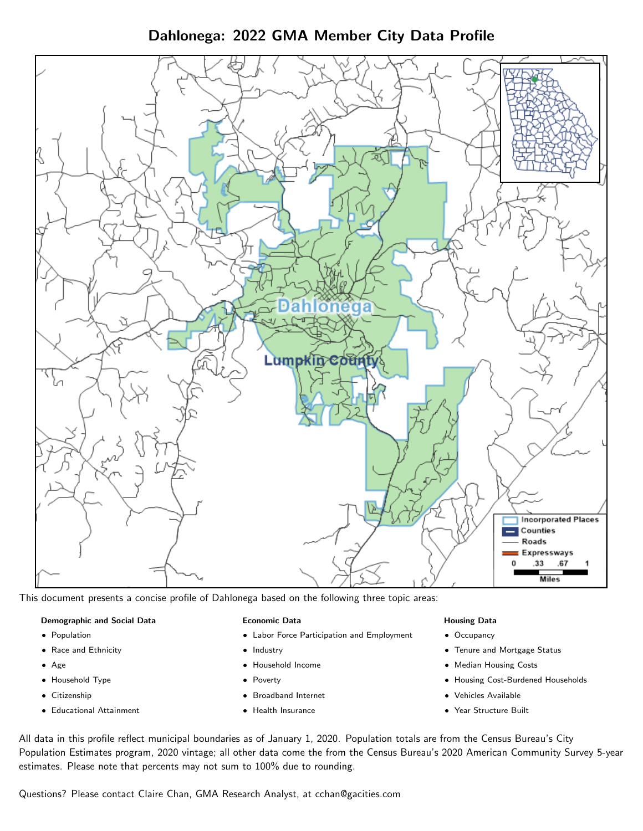Dahlonega: 2022 GMA Member City Data Profile



This document presents a concise profile of Dahlonega based on the following three topic areas:

#### Demographic and Social Data

- **•** Population
- Race and Ethnicity
- Age
- Household Type
- **Citizenship**
- Educational Attainment

#### Economic Data

- Labor Force Participation and Employment
- Industry
- Household Income
- Poverty
- Broadband Internet
- Health Insurance

#### Housing Data

- Occupancy
- Tenure and Mortgage Status
- Median Housing Costs
- Housing Cost-Burdened Households
- Vehicles Available
- Year Structure Built

All data in this profile reflect municipal boundaries as of January 1, 2020. Population totals are from the Census Bureau's City Population Estimates program, 2020 vintage; all other data come the from the Census Bureau's 2020 American Community Survey 5-year estimates. Please note that percents may not sum to 100% due to rounding.

Questions? Please contact Claire Chan, GMA Research Analyst, at [cchan@gacities.com.](mailto:cchan@gacities.com)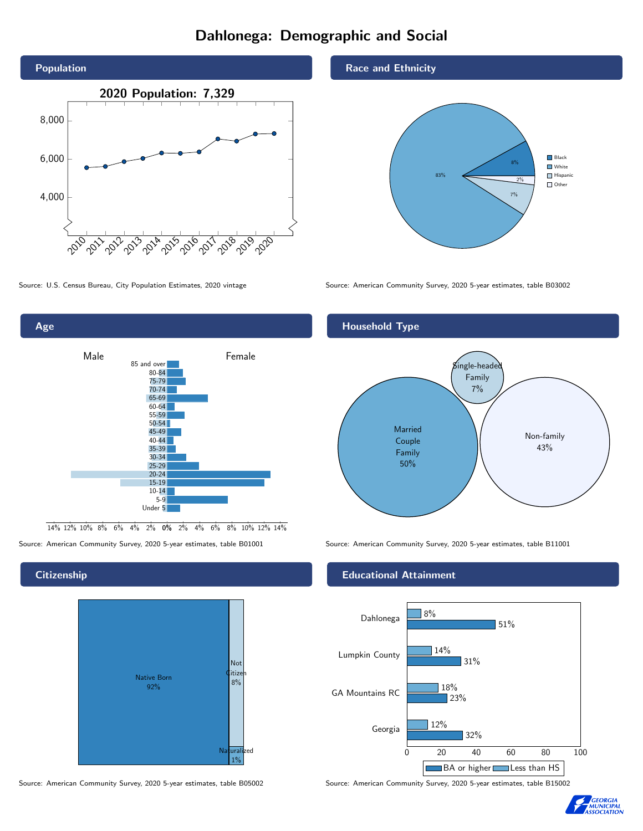# Dahlonega: Demographic and Social





**Citizenship** 



Source: American Community Survey, 2020 5-year estimates, table B05002 Source: American Community Survey, 2020 5-year estimates, table B15002

#### Race and Ethnicity

Household Type



Source: U.S. Census Bureau, City Population Estimates, 2020 vintage Source: American Community Survey, 2020 5-year estimates, table B03002

# **Married** Couple Family 50%  $\mathcal S$ ingle-heade $\mathcal S$ Family 7% Non-family 43%

Source: American Community Survey, 2020 5-year estimates, table B01001 Source: American Community Survey, 2020 5-year estimates, table B11001

#### Educational Attainment



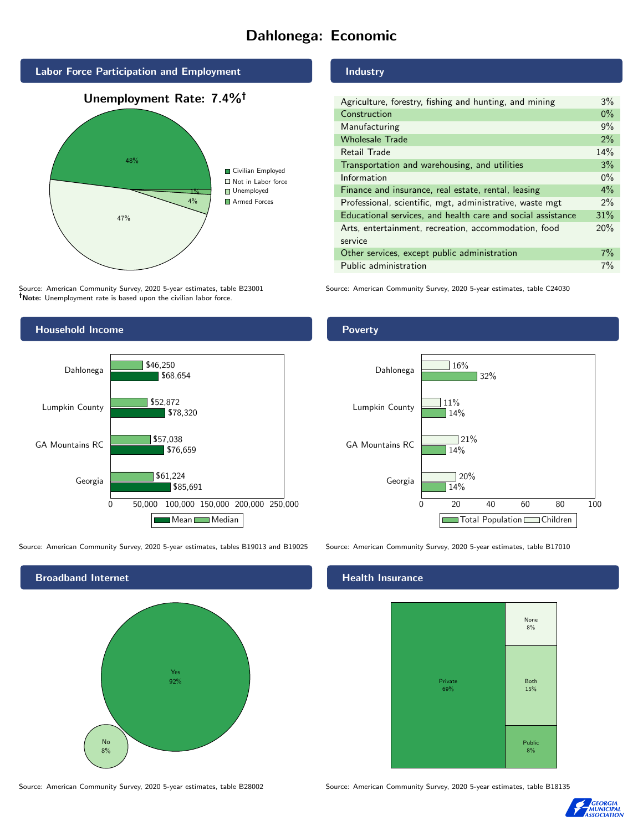# Dahlonega: Economic



Source: American Community Survey, 2020 5-year estimates, table B23001 Note: Unemployment rate is based upon the civilian labor force.



Source: American Community Survey, 2020 5-year estimates, tables B19013 and B19025 Source: American Community Survey, 2020 5-year estimates, table B17010



Source: American Community Survey, 2020 5-year estimates, table B28002 Source: American Community Survey, 2020 5-year estimates, table B18135

Industry

| Agriculture, forestry, fishing and hunting, and mining      | 3%    |
|-------------------------------------------------------------|-------|
| Construction                                                | $0\%$ |
| Manufacturing                                               | 9%    |
| <b>Wholesale Trade</b>                                      | 2%    |
| Retail Trade                                                | 14%   |
| Transportation and warehousing, and utilities               | 3%    |
| Information                                                 | $0\%$ |
| Finance and insurance, real estate, rental, leasing         | $4\%$ |
| Professional, scientific, mgt, administrative, waste mgt    | $2\%$ |
| Educational services, and health care and social assistance | 31%   |
| Arts, entertainment, recreation, accommodation, food        | 20%   |
| service                                                     |       |
| Other services, except public administration                | $7\%$ |
| Public administration                                       | 7%    |

Source: American Community Survey, 2020 5-year estimates, table C24030

### Poverty



#### Health Insurance